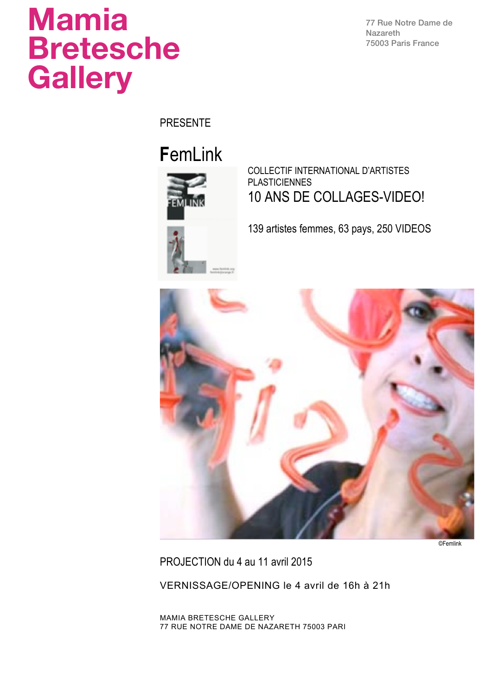# **Mamia Bretesche Gallery**

77 Rue Notre Dame de Nazareth 75003 Paris France

PRESENTE

## **F**emLink



COLLECTIF INTERNATIONAL D'ARTISTES PLASTICIENNES 10 ANS DE COLLAGES-VIDEO!

139 artistes femmes, 63 pays, 250 VIDEOS



©Femlink

PROJECTION du 4 au 11 avril 2015

VERNISSAGE/OPENING le 4 avril de 16h à 21h

MAMIA BRETESCHE GALLERY 77 RUE NOTRE DAME DE NAZARETH 75003 PARI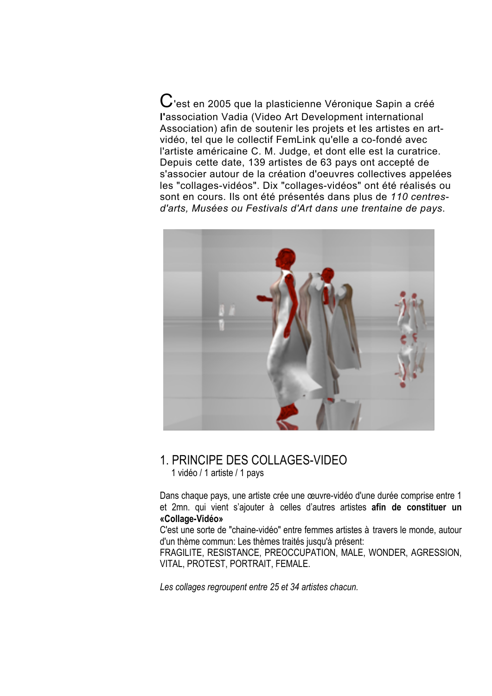$\bf C$ 'est en 2005 que la plasticienne Véronique Sapin a créé **l'**association Vadia (Video Art Development international Association) afin de soutenir les projets et les artistes en artvidéo, tel que le collectif FemLink qu'elle a co-fondé avec l'artiste américaine C. M. Judge, et dont elle est la curatrice. Depuis cette date, 139 artistes de 63 pays ont accepté de s'associer autour de la création d'oeuvres collectives appelées les "collages-vidéos". Dix "collages-vidéos" ont été réalisés ou sont en cours. Ils ont été présentés dans plus de *110 centresd'arts, Musées ou Festivals d'Art dans une trentaine de pays*.



## 1. PRINCIPE DES COLLAGES-VIDEO 1 vidéo / <sup>1</sup> artiste / <sup>1</sup> pays

Dans chaque pays, une artiste crée une œuvre-vidéo d'une durée comprise entre 1 et 2mn. qui vient s'ajouter à celles d'autres artistes **afin de constituer un «Collage-Vidéo»**

C'est une sorte de "chaine-vidéo" entre femmes artistes à travers le monde, autour d'un thème commun: Les thèmes traités jusqu'à présent:

FRAGILITE, RESISTANCE, PREOCCUPATION, MALE, WONDER, AGRESSION, VITAL, PROTEST, PORTRAIT, FEMALE.

*Les collages regroupent entre 25 et 34 artistes chacun.*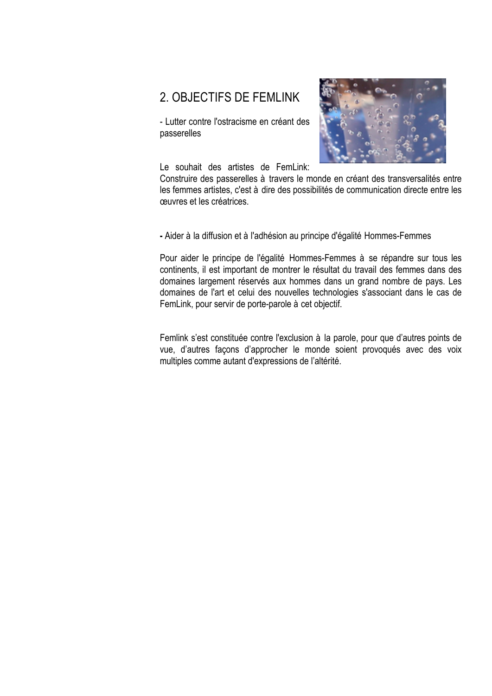### 2. OBJECTIFS DE FEMLINK

- Lutter contre l'ostracisme en créant des passerelles



Le souhait des artistes de FemLink:

Construire des passerelles à travers le monde en créant des transversalités entre les femmes artistes, c'est à dire des possibilités de communication directe entre les œuvres et les créatrices.

**-** Aider à la diffusion et à l'adhésion au principe d'égalité Hommes-Femmes

Pour aider le principe de l'égalité Hommes-Femmes à se répandre sur tous les continents, il est important de montrer le résultat du travail des femmes dans des domaines largement réservés aux hommes dans un grand nombre de pays. Les domaines de l'art et celui des nouvelles technologies s'associant dans le cas de FemLink, pour servir de porte-parole à cet objectif.

Femlink s'est constituée contre l'exclusion à la parole, pour que d'autres points de vue, d'autres façons d'approcher le monde soient provoqués avec des voix multiples comme autant d'expressions de l'altérité.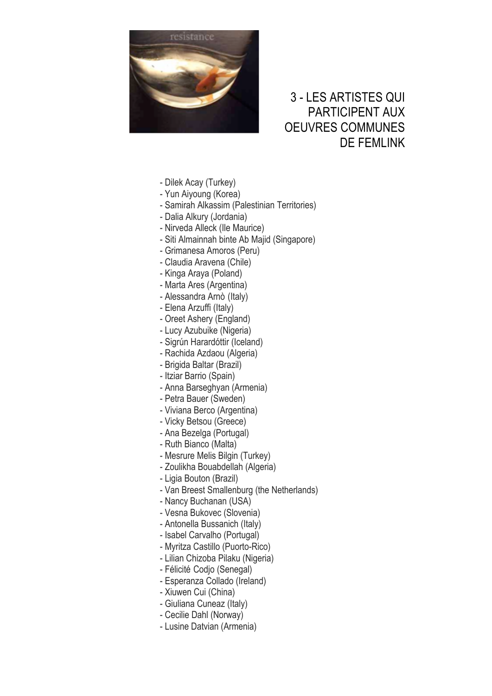

## 3 - LES ARTISTES QUI PARTICIPENT AUX OEUVRES COMMUNES DE FEMLINK

- Dilek Acay (Turkey)
- Yun Aiyoung (Korea)
- Samirah Alkassim (Palestinian Territories)
- Dalia Alkury (Jordania)
- Nirveda Alleck (Ile Maurice)
- Siti Almainnah binte Ab Majid (Singapore)
- Grimanesa Amoros (Peru)
- Claudia Aravena (Chile)
- Kinga Araya (Poland)
- Marta Ares (Argentina)
- Alessandra Arnò (Italy)
- Elena Arzuffi (Italy)
- Oreet Ashery (England)
- Lucy Azubuike (Nigeria)
- Sigrún Harardóttir (Iceland)
- Rachida Azdaou (Algeria)
- Brigida Baltar (Brazil)
- Itziar Barrio (Spain)
- Anna Barseghyan (Armenia)
- Petra Bauer (Sweden)
- Viviana Berco (Argentina)
- Vicky Betsou (Greece)
- Ana Bezelga (Portugal)
- Ruth Bianco (Malta)
- Mesrure Melis Bilgin (Turkey)
- Zoulikha Bouabdellah (Algeria)
- Ligia Bouton (Brazil)
- Van Breest Smallenburg (the Netherlands)
- Nancy Buchanan (USA)
- Vesna Bukovec (Slovenia)
- Antonella Bussanich (Italy)
- Isabel Carvalho (Portugal)
- Myritza Castillo (Puorto-Rico)
- Lilian Chizoba Pilaku (Nigeria)
- Félicité Codjo (Senegal)
- Esperanza Collado (Ireland)
- Xiuwen Cui (China)
- Giuliana Cuneaz (Italy)
- Cecilie Dahl (Norway)
- Lusine Datvian (Armenia)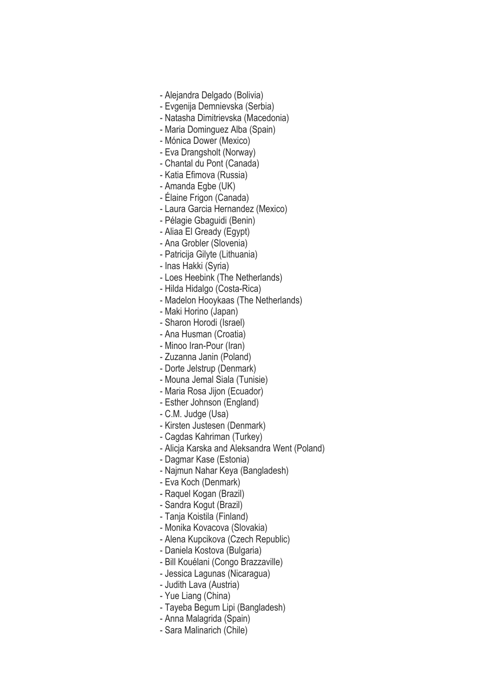- Alejandra Delgado (Bolivia)
- Evgenija Demnievska (Serbia)
- Natasha Dimitrievska (Macedonia)
- Maria Dominguez Alba (Spain)
- Mónica Dower (Mexico)
- Eva Drangsholt (Norway)
- Chantal du Pont (Canada)
- Katia Efimova (Russia)
- Amanda Egbe (UK)
- Élaine Frigon (Canada)
- Laura Garcia Hernandez (Mexico)
- Pélagie Gbaguidi (Benin)
- Aliaa El Gready (Egypt)
- Ana Grobler (Slovenia)
- Patricija Gilyte (Lithuania)
- Inas Hakki (Syria)
- Loes Heebink (The Netherlands)
- Hilda Hidalgo (Costa-Rica)
- Madelon Hooykaas (The Netherlands)
- Maki Horino (Japan)
- Sharon Horodi (Israel)
- Ana Husman (Croatia)
- Minoo Iran-Pour (Iran)
- Zuzanna Janin (Poland)
- Dorte Jelstrup (Denmark)
- Mouna Jemal Siala (Tunisie)
- Maria Rosa Jijon (Ecuador)
- Esther Johnson (England)
- C.M. Judge (Usa)
- Kirsten Justesen (Denmark)
- Cagdas Kahriman (Turkey)
- Alicja Karska and Aleksandra Went (Poland)
- Dagmar Kase (Estonia)
- Najmun Nahar Keya (Bangladesh)
- Eva Koch (Denmark)
- Raquel Kogan (Brazil)
- Sandra Kogut (Brazil)
- Tanja Koistila (Finland)
- Monika Kovacova (Slovakia)
- Alena Kupcikova (Czech Republic)
- Daniela Kostova (Bulgaria)
- Bill Kouélani (Congo Brazzaville)
- Jessica Lagunas (Nicaragua)
- Judith Lava (Austria)
- Yue Liang (China)
- Tayeba Begum Lipi (Bangladesh)
- Anna Malagrida (Spain)
- Sara Malinarich (Chile)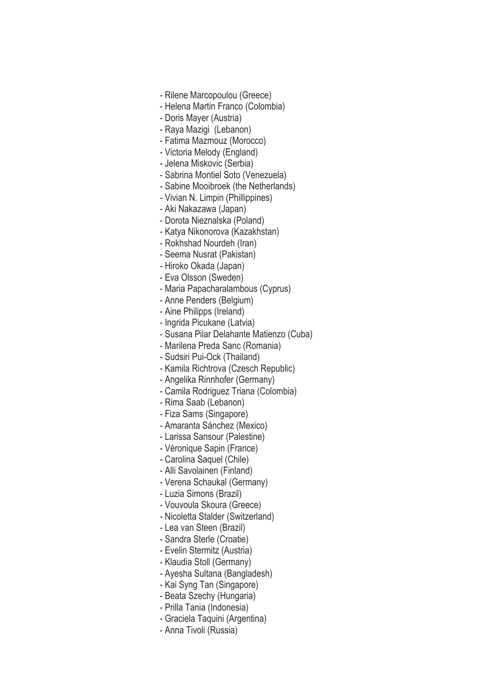- Rilene Marcopoulou (Greece)
- Helena Martin Franco (Colombia)
- Doris Mayer (Austria)
- Raya Mazigi (Lebanon)
- Fatima Mazmouz (Morocco)
- Victoria Melody (England)
- Jelena Miskovic (Serbia)
- Sabrina Montiel Soto (Venezuela)
- Sabine Mooibroek (the Netherlands)
- Vivian N. Limpin (Phillippines)
- Aki Nakazawa (Japan)
- Dorota Nieznalska (Poland)
- Katya Nikonorova (Kazakhstan)
- Rokhshad Nourdeh (Iran)
- Seema Nusrat (Pakistan)
- Hiroko Okada (Japan)
- Eva Olsson (Sweden)
- Maria Papacharalambous (Cyprus)
- Anne Penders (Belgium)
- Aine Philipps (Ireland)
- Ingrida Picukane (Latvia)
- Susana Pilar Delahante Matienzo (Cuba)
- Marilena Preda Sanc (Romania)
- Sudsiri Pui-Ock (Thailand)
- Kamila Richtrova (Czesch Republic)
- Angelika Rinnhofer (Germany)
- Camila Rodriguez Triana (Colombia)
- Rima Saab (Lebanon)
- Fiza Sams (Singapore)
- Amaranta Sánchez (Mexico)
- Larissa Sansour (Palestine)
- Véronique Sapin (France)
- Carolina Saquel (Chile)
- Alli Savolainen (Finland)
- Verena Schaukal (Germany)
- Luzia Simons (Brazil)
- Vouvoula Skoura (Greece)
- Nicoletta Stalder (Switzerland)
- Lea van Steen (Brazil)
- Sandra Sterle (Croatie)
- Evelin Stermitz (Austria)
- Klaudia Stoll (Germany)
- Ayesha Sultana (Bangladesh)
- Kai Syng Tan (Singapore)
- Beata Szechy (Hungaria)
- Prilla Tania (Indonesia)
- Graciela Taquini (Argentina)
- Anna Tivoli (Russia)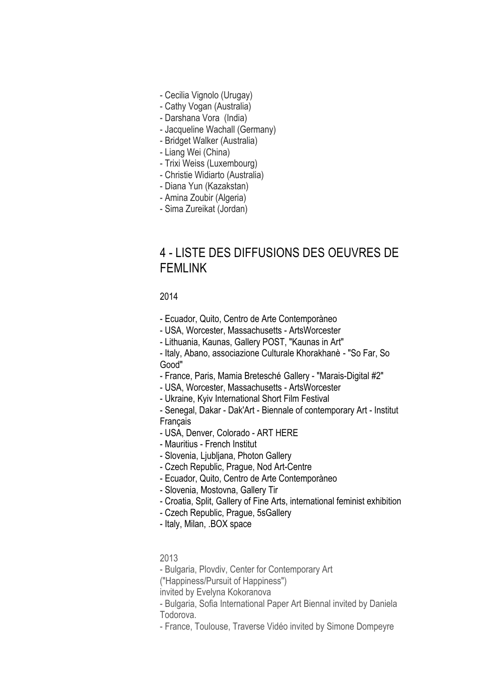- Cecilia Vignolo (Urugay)
- Cathy Vogan (Australia)
- Darshana Vora (India)
- Jacqueline Wachall (Germany)
- Bridget Walker (Australia)
- Liang Wei (China)
- Trixi Weiss (Luxembourg)
- Christie Widiarto (Australia)
- Diana Yun (Kazakstan)
- Amina Zoubir (Algeria)
- Sima Zureikat (Jordan)

### 4 - LISTE DES DIFFUSIONS DES OEUVRES DE FFMI INK

#### 2014

- Ecuador, Quito, Centro de Arte Contemporàneo
- USA, Worcester, Massachusetts ArtsWorcester
- Lithuania, Kaunas, Gallery POST, "Kaunas in Art"

- Italy, Abano, associazione Culturale Khorakhanè - "So Far, So Good"

- France, Paris, Mamia Bretesché Gallery - "Marais-Digital #2"

- USA, Worcester, Massachusetts - ArtsWorcester

- Ukraine, Kyiv International Short Film Festival

- Senegal, Dakar - Dak'Art - Biennale of contemporary Art - Institut **Francais** 

- USA, Denver, Colorado ART HERE
- Mauritius French Institut
- Slovenia, Ljubljana, Photon Gallery
- Czech Republic, Prague, Nod Art-Centre
- Ecuador, Quito, Centro de Arte Contemporàneo
- Slovenia, Mostovna, Gallery Tir
- Croatia, Split, Gallery of Fine Arts, international feminist exhibition
- Czech Republic, Prague, 5sGallery
- Italy, Milan, .BOX space

#### 2013

- Bulgaria, Plovdiv, Center for Contemporary Art

("Happiness/Pursuit of Happiness")

invited by Evelyna Kokoranova

- Bulgaria, Sofia International Paper Art Biennal invited by Daniela Todorova.

- France, Toulouse, Traverse Vidéo invited by Simone Dompeyre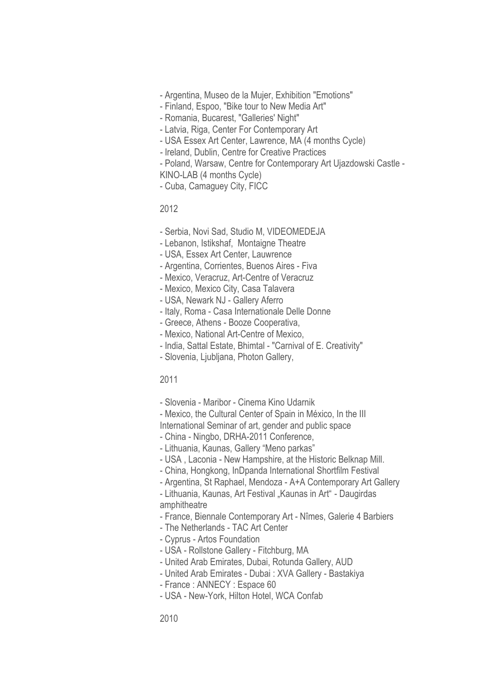- Argentina, Museo de la Mujer, Exhibition "Emotions"
- Finland, Espoo, "Bike tour to New Media Art"
- Romania, Bucarest, "Galleries' Night"
- Latvia, Riga, Center For Contemporary Art
- USA Essex Art Center, Lawrence, MA (4 months Cycle)
- *-* Ireland, Dublin, Centre for Creative Practices
- Poland, Warsaw, Centre for Contemporary Art Ujazdowski Castle -

KINO-LAB (4 months Cycle)

- Cuba, Camaguey City, FICC

2012

- Serbia, Novi Sad, Studio M, VIDEOMEDEJA
- Lebanon, Istikshaf, Montaigne Theatre
- USA, Essex Art Center, Lauwrence
- Argentina, Corrientes, Buenos Aires Fiva
- Mexico, Veracruz, Art-Centre of Veracruz
- Mexico, Mexico City, Casa Talavera
- USA, Newark NJ Gallery Aferro
- Italy, Roma Casa Internationale Delle Donne
- Greece, Athens Booze Cooperativa,
- Mexico, National Art-Centre of Mexico,
- India, Sattal Estate, Bhimtal "Carnival of E. Creativity"
- Slovenia, Ljubljana, Photon Gallery,

#### 2011

- Slovenia Maribor Cinema Kino Udarnik
- Mexico, the Cultural Center of Spain in México, In the III International Seminar of art, gender and public space
- China Ningbo, DRHA-2011 Conference,
- Lithuania, Kaunas, Gallery "Meno parkas"
- USA , Laconia New Hampshire, at the Historic Belknap Mill.
- China, Hongkong, InDpanda International Shortfilm Festival
- Argentina, St Raphael, Mendoza A+A Contemporary Art Gallery

- Lithuania, Kaunas, Art Festival "Kaunas in Art" - Daugirdas amphitheatre

- France, Biennale Contemporary Art Nîmes, Galerie 4 Barbiers
- The Netherlands TAC Art Center
- Cyprus Artos Foundation
- USA Rollstone Gallery Fitchburg, MA
- United Arab Emirates, Dubai, Rotunda Gallery, AUD
- United Arab Emirates Dubai : XVA Gallery Bastakiya
- France : ANNECY : Espace 60
- USA New-York, Hilton Hotel, WCA Confab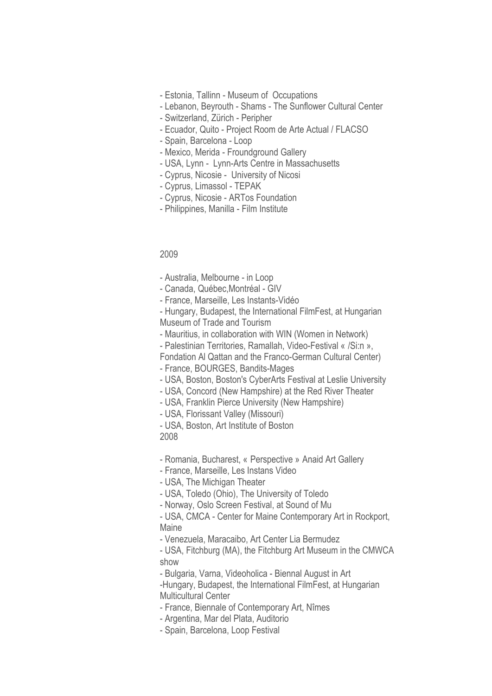- Estonia, Tallinn Museum of Occupations
- Lebanon, Beyrouth Shams The Sunflower Cultural Center
- Switzerland, Zürich Peripher
- Ecuador, Quito Project Room de Arte Actual / FLACSO
- Spain, Barcelona Loop
- Mexico, Merida Froundground Gallery
- USA, Lynn Lynn-Arts Centre in Massachusetts
- Cyprus, Nicosie University of Nicosi
- Cyprus, Limassol TEPAK
- Cyprus, Nicosie ARTos Foundation
- Philippines, Manilla Film Institute

#### 2009

- Australia, Melbourne in Loop
- Canada, Québec,Montréal GIV
- France, Marseille, Les Instants-Vidéo
- Hungary, Budapest, the International FilmFest, at Hungarian Museum of Trade and Tourism
- Mauritius, in collaboration with WIN (Women in Network)
- Palestinian Territories, Ramallah, Video-Festival « /Si:n »,
- Fondation Al Qattan and the Franco-German Cultural Center)
- France, BOURGES, Bandits-Mages
- USA, Boston, Boston's CyberArts Festival at Leslie University
- USA, Concord (New Hampshire) at the Red River Theater
- USA, Franklin Pierce University (New Hampshire)
- USA, Florissant Valley (Missouri)
- USA, Boston, Art Institute of Boston
- 2008
- Romania, Bucharest, « Perspective » Anaid Art Gallery
- France, Marseille, Les Instans Video
- USA, The Michigan Theater
- USA, Toledo (Ohio), The University of Toledo
- Norway, Oslo Screen Festival, at Sound of Mu
- USA, CMCA Center for Maine Contemporary Art in Rockport, Maine
- Venezuela, Maracaibo, Art Center Lia Bermudez
- USA, Fitchburg (MA), the Fitchburg Art Museum in the CMWCA show
- Bulgaria, Varna, Videoholica Biennal August in Art
- -Hungary, Budapest, the International FilmFest, at Hungarian Multicultural Center
- France, Biennale of Contemporary Art, Nîmes
- Argentina, Mar del Plata, Auditorio
- Spain, Barcelona, Loop Festival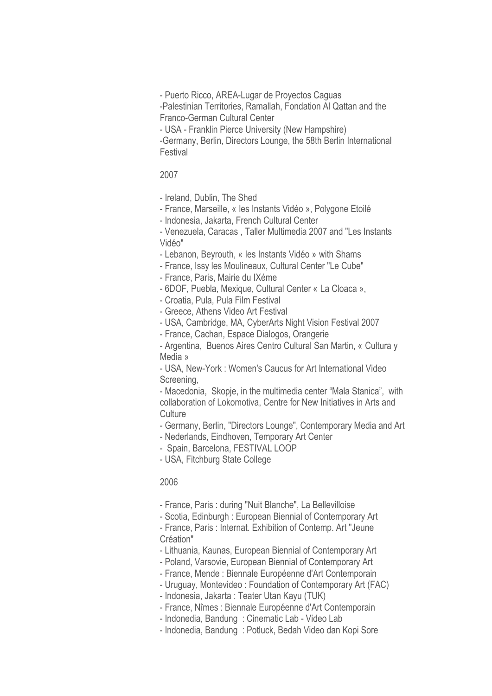- Puerto Ricco, AREA-Lugar de Proyectos Caguas

-Palestinian Territories, Ramallah, Fondation Al Qattan and the Franco-German Cultural Center

- USA - Franklin Pierce University (New Hampshire)

-Germany, Berlin, Directors Lounge, the 58th Berlin International Festival

#### 2007

- Ireland, Dublin, The Shed

- France, Marseille, « les Instants Vidéo », Polygone Etoilé

- Indonesia, Jakarta, French Cultural Center

- Venezuela, Caracas , Taller Multimedia 2007 and "Les Instants Vidéo"

- Lebanon, Beyrouth, « les Instants Vidéo » with Shams

- France, Issy les Moulineaux, Cultural Center "Le Cube"

- France, Paris, Mairie du IXéme

- 6DOF, Puebla, Mexique, Cultural Center « La Cloaca »,

- Croatia, Pula, Pula Film Festival

- Greece, Athens Video Art Festival

- USA, Cambridge, MA, CyberArts Night Vision Festival 2007

- France, Cachan, Espace Dialogos, Orangerie

- Argentina, Buenos Aires Centro Cultural San Martin, « Cultura y Media »

- USA, New-York : Women's Caucus for Art International Video Screening,

- Macedonia, Skopje, in the multimedia center "Mala Stanica", with collaboration of Lokomotiva, Centre for New Initiatives in Arts and **Culture** 

- Germany, Berlin, "Directors Lounge", Contemporary Media and Art

- Nederlands, Eindhoven, Temporary Art Center

- Spain, Barcelona, FESTIVAL LOOP

- USA, Fitchburg State College

#### 2006

- France, Paris : during "Nuit Blanche", La Bellevilloise

- Scotia, Edinburgh : European Biennial of Contemporary Art

- France, Paris : Internat. Exhibition of Contemp. Art "Jeune Création"

- Lithuania, Kaunas, European Biennial of Contemporary Art

- Poland, Varsovie, European Biennial of Contemporary Art

- France, Mende : Biennale Européenne d'Art Contemporain

- Uruguay, Montevideo : Foundation of Contemporary Art (FAC)

- Indonesia, Jakarta : Teater Utan Kayu (TUK)

- France, Nîmes : Biennale Européenne d'Art Contemporain

- Indonedia, Bandung : Cinematic Lab - Video Lab

- Indonedia, Bandung : Potluck, Bedah Video dan Kopi Sore